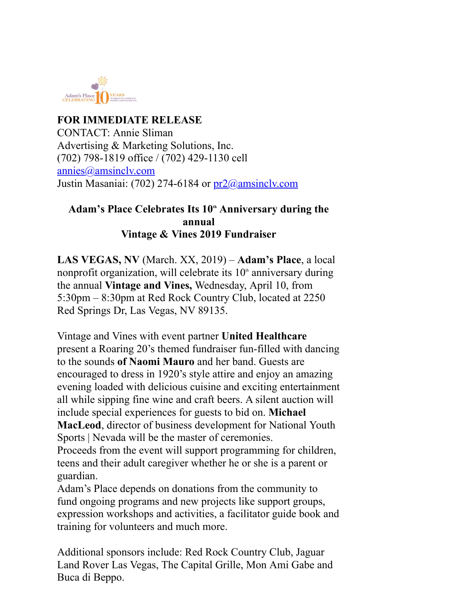

**FOR IMMEDIATE RELEASE** CONTACT: Annie Sliman Advertising & Marketing Solutions, Inc. (702) 798-1819 office / (702) 429-1130 cell annies@amsinclv.com Justin Masaniai: (702) 274-6184 or pr2@amsinclv.com

## Adam's Place Celebrates Its 10<sup>th</sup> Anniversary during the **annual Vintage & Vines 2019 Fundraiser**

**LAS VEGAS, NV** (March. XX, 2019) – **Adam's Place**, a local nonprofit organization, will celebrate its  $10<sup>th</sup>$  anniversary during the annual **Vintage and Vines,** Wednesday, April 10, from 5:30pm – 8:30pm at Red Rock Country Club, located at 2250 Red Springs Dr, Las Vegas, NV 89135.

Vintage and Vines with event partner **United Healthcare** present a Roaring 20's themed fundraiser fun-filled with dancing to the sounds **of Naomi Mauro** and her band. Guests are encouraged to dress in 1920's style attire and enjoy an amazing evening loaded with delicious cuisine and exciting entertainment all while sipping fine wine and craft beers. A silent auction will include special experiences for guests to bid on. **Michael MacLeod**, director of business development for National Youth Sports | Nevada will be the master of ceremonies.

Proceeds from the event will support programming for children, teens and their adult caregiver whether he or she is a parent or guardian.

Adam's Place depends on donations from the community to fund ongoing programs and new projects like support groups, expression workshops and activities, a facilitator guide book and training for volunteers and much more.

Additional sponsors include: Red Rock Country Club, Jaguar Land Rover Las Vegas, The Capital Grille, Mon Ami Gabe and Buca di Beppo.